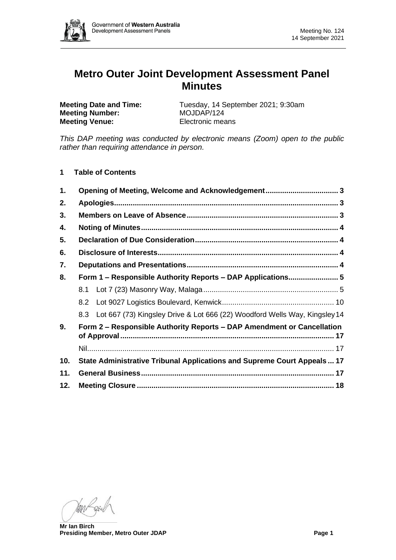

# **Metro Outer Joint Development Assessment Panel Minutes**

**Meeting Number:** MOJDAP/124 **Meeting Venue:** Electronic means

**Meeting Date and Time:** Tuesday, 14 September 2021; 9:30am

*This DAP meeting was conducted by electronic means (Zoom) open to the public rather than requiring attendance in person.*

**1 Table of Contents**

| 1.                                                                           |                                                                                |  |  |  |  |
|------------------------------------------------------------------------------|--------------------------------------------------------------------------------|--|--|--|--|
| 2.                                                                           |                                                                                |  |  |  |  |
| 3.                                                                           |                                                                                |  |  |  |  |
| 4.                                                                           |                                                                                |  |  |  |  |
| 5.                                                                           |                                                                                |  |  |  |  |
| 6.                                                                           |                                                                                |  |  |  |  |
| 7.                                                                           |                                                                                |  |  |  |  |
| 8.                                                                           | Form 1 – Responsible Authority Reports – DAP Applications 5                    |  |  |  |  |
|                                                                              |                                                                                |  |  |  |  |
|                                                                              |                                                                                |  |  |  |  |
|                                                                              | 8.3 Lot 667 (73) Kingsley Drive & Lot 666 (22) Woodford Wells Way, Kingsley 14 |  |  |  |  |
| Form 2 – Responsible Authority Reports – DAP Amendment or Cancellation<br>9. |                                                                                |  |  |  |  |
|                                                                              |                                                                                |  |  |  |  |
| 10.                                                                          | State Administrative Tribunal Applications and Supreme Court Appeals  17       |  |  |  |  |
| 11.                                                                          |                                                                                |  |  |  |  |
| 12.                                                                          |                                                                                |  |  |  |  |

**Mr Ian Birch Presiding Member, Metro Outer JDAP Page 1**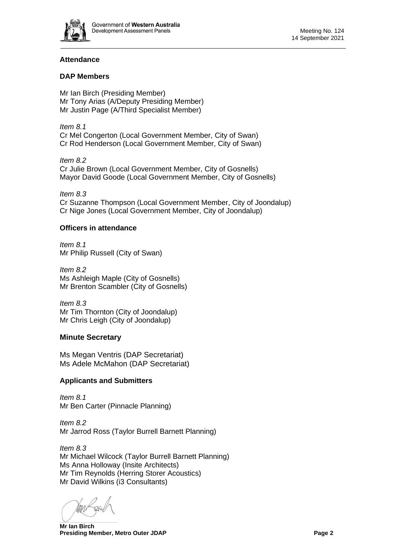

# **Attendance**

### **DAP Members**

Mr Ian Birch (Presiding Member) Mr Tony Arias (A/Deputy Presiding Member) Mr Justin Page (A/Third Specialist Member)

*Item 8.1* Cr Mel Congerton (Local Government Member, City of Swan) Cr Rod Henderson (Local Government Member, City of Swan)

*Item 8.2* Cr Julie Brown (Local Government Member, City of Gosnells) Mayor David Goode (Local Government Member, City of Gosnells)

*Item 8.3* Cr Suzanne Thompson (Local Government Member, City of Joondalup) Cr Nige Jones (Local Government Member, City of Joondalup)

### **Officers in attendance**

*Item 8.1* Mr Philip Russell (City of Swan)

*Item 8.2* Ms Ashleigh Maple (City of Gosnells) Mr Brenton Scambler (City of Gosnells)

*Item 8.3* Mr Tim Thornton (City of Joondalup) Mr Chris Leigh (City of Joondalup)

# **Minute Secretary**

Ms Megan Ventris (DAP Secretariat) Ms Adele McMahon (DAP Secretariat)

# **Applicants and Submitters**

*Item 8.1* Mr Ben Carter (Pinnacle Planning)

*Item 8.2* Mr Jarrod Ross (Taylor Burrell Barnett Planning)

*Item 8.3* Mr Michael Wilcock (Taylor Burrell Barnett Planning) Ms Anna Holloway (Insite Architects) Mr Tim Reynolds (Herring Storer Acoustics) Mr David Wilkins (i3 Consultants)

**Mr Ian Birch Presiding Member, Metro Outer JDAP Page 2 Page 2**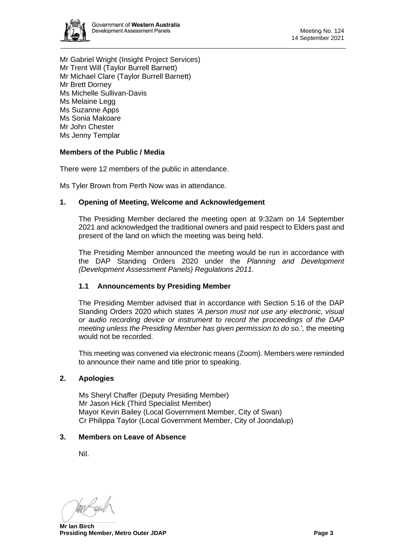

Mr Gabriel Wright (Insight Project Services) Mr Trent Will (Taylor Burrell Barnett) Mr Michael Clare (Taylor Burrell Barnett) Mr Brett Dorney Ms Michelle Sullivan-Davis Ms Melaine Legg Ms Suzanne Apps Ms Sonia Makoare Mr John Chester Ms Jenny Templar

# **Members of the Public / Media**

There were 12 members of the public in attendance.

Ms Tyler Brown from Perth Now was in attendance.

### <span id="page-2-0"></span>**1. Opening of Meeting, Welcome and Acknowledgement**

The Presiding Member declared the meeting open at 9:32am on 14 September 2021 and acknowledged the traditional owners and paid respect to Elders past and present of the land on which the meeting was being held.

The Presiding Member announced the meeting would be run in accordance with the DAP Standing Orders 2020 under the *Planning and Development (Development Assessment Panels) Regulations 2011.*

# **1.1 Announcements by Presiding Member**

The Presiding Member advised that in accordance with Section 5.16 of the DAP Standing Orders 2020 which states *'A person must not use any electronic, visual or audio recording device or instrument to record the proceedings of the DAP meeting unless the Presiding Member has given permission to do so.',* the meeting would not be recorded.

This meeting was convened via electronic means (Zoom). Members were reminded to announce their name and title prior to speaking.

#### <span id="page-2-1"></span>**2. Apologies**

Ms Sheryl Chaffer (Deputy Presiding Member) Mr Jason Hick (Third Specialist Member) Mayor Kevin Bailey (Local Government Member, City of Swan) Cr Philippa Taylor (Local Government Member, City of Joondalup)

# <span id="page-2-2"></span>**3. Members on Leave of Absence**

Nil.

**Mr Ian Birch Presiding Member, Metro Outer JDAP Page 3 Page 3**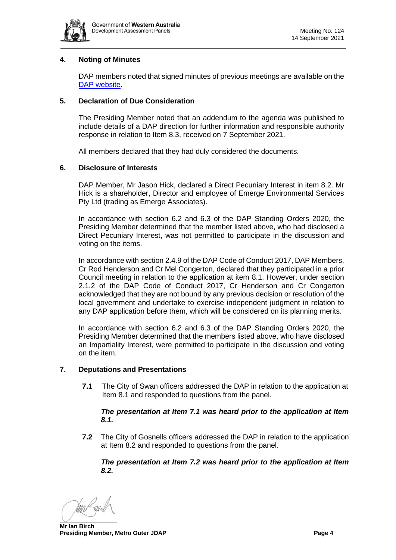

# <span id="page-3-0"></span>**4. Noting of Minutes**

DAP members noted that signed minutes of previous meetings are available on the [DAP website.](https://www.dplh.wa.gov.au/about/development-assessment-panels/daps-agendas-and-minutes)

### <span id="page-3-1"></span>**5. Declaration of Due Consideration**

The Presiding Member noted that an addendum to the agenda was published to include details of a DAP direction for further information and responsible authority response in relation to Item 8.3, received on 7 September 2021.

All members declared that they had duly considered the documents.

### <span id="page-3-2"></span>**6. Disclosure of Interests**

DAP Member, Mr Jason Hick, declared a Direct Pecuniary Interest in item 8.2. Mr Hick is a shareholder, Director and employee of Emerge Environmental Services Pty Ltd (trading as Emerge Associates).

In accordance with section 6.2 and 6.3 of the DAP Standing Orders 2020, the Presiding Member determined that the member listed above, who had disclosed a Direct Pecuniary Interest, was not permitted to participate in the discussion and voting on the items.

In accordance with section 2.4.9 of the DAP Code of Conduct 2017, DAP Members, Cr Rod Henderson and Cr Mel Congerton, declared that they participated in a prior Council meeting in relation to the application at item 8.1. However, under section 2.1.2 of the DAP Code of Conduct 2017, Cr Henderson and Cr Congerton acknowledged that they are not bound by any previous decision or resolution of the local government and undertake to exercise independent judgment in relation to any DAP application before them, which will be considered on its planning merits.

In accordance with section 6.2 and 6.3 of the DAP Standing Orders 2020, the Presiding Member determined that the members listed above, who have disclosed an Impartiality Interest, were permitted to participate in the discussion and voting on the item.

#### <span id="page-3-3"></span>**7. Deputations and Presentations**

**7.1** The City of Swan officers addressed the DAP in relation to the application at Item 8.1 and responded to questions from the panel.

#### *The presentation at Item 7.1 was heard prior to the application at Item 8.1.*

**7.2** The City of Gosnells officers addressed the DAP in relation to the application at Item 8.2 and responded to questions from the panel.

*The presentation at Item 7.2 was heard prior to the application at Item 8.2.*

**Mr Ian Birch Presiding Member, Metro Outer JDAP Page 4 Page 4 Page 4 Page 4**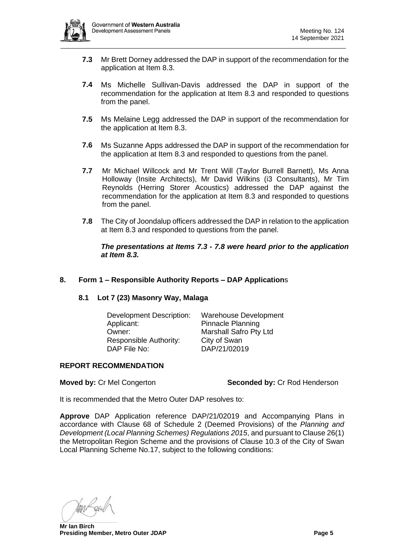

- **7.3** Mr Brett Dorney addressed the DAP in support of the recommendation for the application at Item 8.3.
- **7.4** Ms Michelle Sullivan-Davis addressed the DAP in support of the recommendation for the application at Item 8.3 and responded to questions from the panel.
- **7.5** Ms Melaine Legg addressed the DAP in support of the recommendation for the application at Item 8.3.
- **7.6** Ms Suzanne Apps addressed the DAP in support of the recommendation for the application at Item 8.3 and responded to questions from the panel.
- **7.7** Mr Michael Willcock and Mr Trent Will (Taylor Burrell Barnett), Ms Anna Holloway (Insite Architects), Mr David Wilkins (i3 Consultants), Mr Tim Reynolds (Herring Storer Acoustics) addressed the DAP against the recommendation for the application at Item 8.3 and responded to questions from the panel.
- **7.8** The City of Joondalup officers addressed the DAP in relation to the application at Item 8.3 and responded to questions from the panel.

*The presentations at Items 7.3 - 7.8 were heard prior to the application at Item 8.3.* 

# <span id="page-4-1"></span><span id="page-4-0"></span>**8. Form 1 – Responsible Authority Reports – DAP Application**s

#### **8.1 Lot 7 (23) Masonry Way, Malaga**

| <b>Development Description:</b> | <b>Warehouse Development</b> |  |
|---------------------------------|------------------------------|--|
| Applicant:                      | <b>Pinnacle Planning</b>     |  |
| Owner:                          | Marshall Safro Pty Ltd       |  |
| Responsible Authority:          | City of Swan                 |  |
| DAP File No:                    | DAP/21/02019                 |  |

#### **REPORT RECOMMENDATION**

#### **Moved by:** Cr Mel Congerton **Seconded by:** Cr Rod Henderson

It is recommended that the Metro Outer DAP resolves to:

**Approve** DAP Application reference DAP/21/02019 and Accompanying Plans in accordance with Clause 68 of Schedule 2 (Deemed Provisions) of the *Planning and Development (Local Planning Schemes) Regulations 2015*, and pursuant to Clause 26(1) the Metropolitan Region Scheme and the provisions of Clause 10.3 of the City of Swan Local Planning Scheme No.17, subject to the following conditions:

**Mr Ian Birch Presiding Member, Metro Outer JDAP Page 5**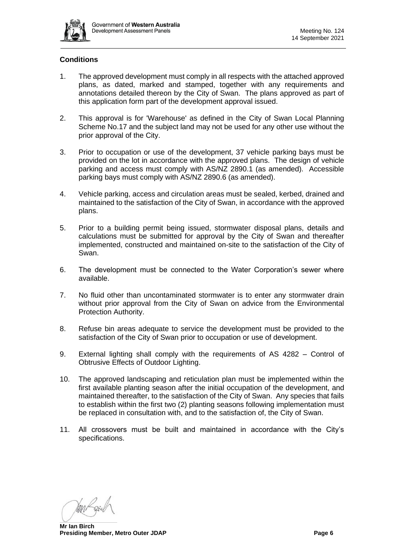

# **Conditions**

- 1. The approved development must comply in all respects with the attached approved plans, as dated, marked and stamped, together with any requirements and annotations detailed thereon by the City of Swan. The plans approved as part of this application form part of the development approval issued.
- 2. This approval is for 'Warehouse' as defined in the City of Swan Local Planning Scheme No.17 and the subject land may not be used for any other use without the prior approval of the City.
- 3. Prior to occupation or use of the development, 37 vehicle parking bays must be provided on the lot in accordance with the approved plans. The design of vehicle parking and access must comply with AS/NZ 2890.1 (as amended). Accessible parking bays must comply with AS/NZ 2890.6 (as amended).
- 4. Vehicle parking, access and circulation areas must be sealed, kerbed, drained and maintained to the satisfaction of the City of Swan, in accordance with the approved plans.
- 5. Prior to a building permit being issued, stormwater disposal plans, details and calculations must be submitted for approval by the City of Swan and thereafter implemented, constructed and maintained on-site to the satisfaction of the City of Swan.
- 6. The development must be connected to the Water Corporation's sewer where available.
- 7. No fluid other than uncontaminated stormwater is to enter any stormwater drain without prior approval from the City of Swan on advice from the Environmental Protection Authority.
- 8. Refuse bin areas adequate to service the development must be provided to the satisfaction of the City of Swan prior to occupation or use of development.
- 9. External lighting shall comply with the requirements of AS 4282 Control of Obtrusive Effects of Outdoor Lighting.
- 10. The approved landscaping and reticulation plan must be implemented within the first available planting season after the initial occupation of the development, and maintained thereafter, to the satisfaction of the City of Swan. Any species that fails to establish within the first two (2) planting seasons following implementation must be replaced in consultation with, and to the satisfaction of, the City of Swan.
- 11. All crossovers must be built and maintained in accordance with the City's specifications.

**Mr Ian Birch Presiding Member, Metro Outer JDAP Page 6 Page 6 Page 6 Page 6**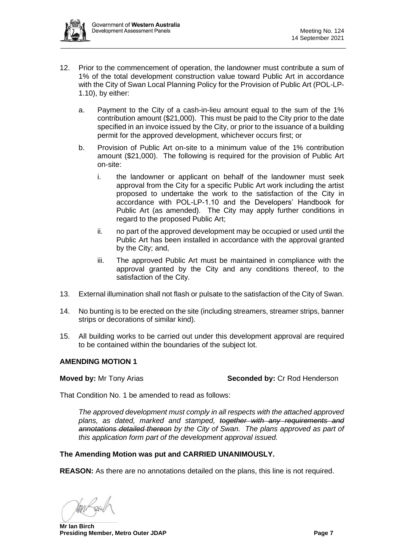

- 12. Prior to the commencement of operation, the landowner must contribute a sum of 1% of the total development construction value toward Public Art in accordance with the City of Swan Local Planning Policy for the Provision of Public Art (POL-LP-1.10), by either:
	- a. Payment to the City of a cash-in-lieu amount equal to the sum of the 1% contribution amount (\$21,000). This must be paid to the City prior to the date specified in an invoice issued by the City, or prior to the issuance of a building permit for the approved development, whichever occurs first; or
	- b. Provision of Public Art on-site to a minimum value of the 1% contribution amount (\$21,000). The following is required for the provision of Public Art on-site:
		- i. the landowner or applicant on behalf of the landowner must seek approval from the City for a specific Public Art work including the artist proposed to undertake the work to the satisfaction of the City in accordance with POL-LP-1.10 and the Developers' Handbook for Public Art (as amended). The City may apply further conditions in regard to the proposed Public Art;
		- ii. no part of the approved development may be occupied or used until the Public Art has been installed in accordance with the approval granted by the City; and,
		- iii. The approved Public Art must be maintained in compliance with the approval granted by the City and any conditions thereof, to the satisfaction of the City.
- 13. External illumination shall not flash or pulsate to the satisfaction of the City of Swan.
- 14. No bunting is to be erected on the site (including streamers, streamer strips, banner strips or decorations of similar kind).
- 15. All building works to be carried out under this development approval are required to be contained within the boundaries of the subject lot.

# **AMENDING MOTION 1**

**Moved by:** Mr Tony Arias **Seconded by: Cr Rod Henderson** 

That Condition No. 1 be amended to read as follows:

*The approved development must comply in all respects with the attached approved plans, as dated, marked and stamped, together with any requirements and annotations detailed thereon by the City of Swan. The plans approved as part of this application form part of the development approval issued.*

# **The Amending Motion was put and CARRIED UNANIMOUSLY.**

**REASON:** As there are no annotations detailed on the plans, this line is not required.

**Mr Ian Birch Presiding Member, Metro Outer JDAP Page 7 Page 7 Page 7**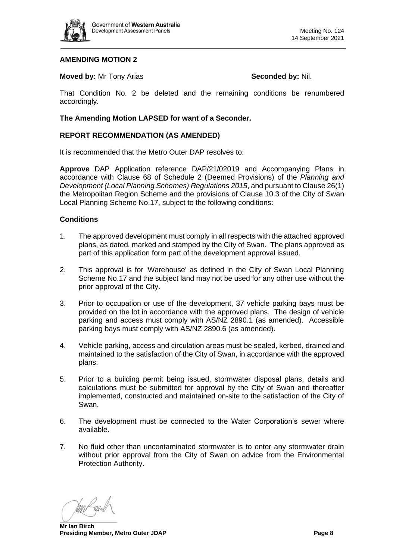

# **AMENDING MOTION 2**

#### **Moved by:** Mr Tony Arias **Seconded by: Nil. Seconded by: Nil.**

That Condition No. 2 be deleted and the remaining conditions be renumbered accordingly.

#### **The Amending Motion LAPSED for want of a Seconder.**

#### **REPORT RECOMMENDATION (AS AMENDED)**

It is recommended that the Metro Outer DAP resolves to:

**Approve** DAP Application reference DAP/21/02019 and Accompanying Plans in accordance with Clause 68 of Schedule 2 (Deemed Provisions) of the *Planning and Development (Local Planning Schemes) Regulations 2015*, and pursuant to Clause 26(1) the Metropolitan Region Scheme and the provisions of Clause 10.3 of the City of Swan Local Planning Scheme No.17, subject to the following conditions:

#### **Conditions**

- 1. The approved development must comply in all respects with the attached approved plans, as dated, marked and stamped by the City of Swan. The plans approved as part of this application form part of the development approval issued.
- 2. This approval is for 'Warehouse' as defined in the City of Swan Local Planning Scheme No.17 and the subject land may not be used for any other use without the prior approval of the City.
- 3. Prior to occupation or use of the development, 37 vehicle parking bays must be provided on the lot in accordance with the approved plans. The design of vehicle parking and access must comply with AS/NZ 2890.1 (as amended). Accessible parking bays must comply with AS/NZ 2890.6 (as amended).
- 4. Vehicle parking, access and circulation areas must be sealed, kerbed, drained and maintained to the satisfaction of the City of Swan, in accordance with the approved plans.
- 5. Prior to a building permit being issued, stormwater disposal plans, details and calculations must be submitted for approval by the City of Swan and thereafter implemented, constructed and maintained on-site to the satisfaction of the City of Swan.
- 6. The development must be connected to the Water Corporation's sewer where available.
- 7. No fluid other than uncontaminated stormwater is to enter any stormwater drain without prior approval from the City of Swan on advice from the Environmental Protection Authority.

**Mr Ian Birch Presiding Member, Metro Outer JDAP Page 8**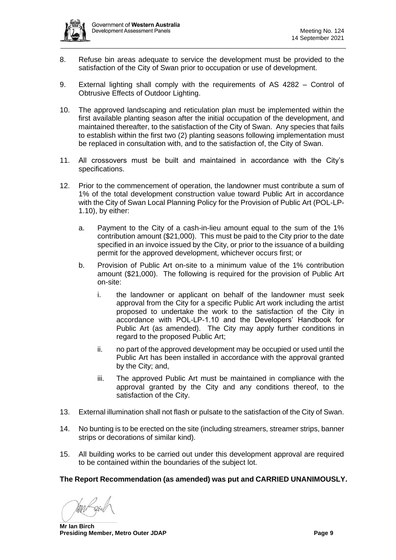

- 8. Refuse bin areas adequate to service the development must be provided to the satisfaction of the City of Swan prior to occupation or use of development.
- 9. External lighting shall comply with the requirements of AS 4282 Control of Obtrusive Effects of Outdoor Lighting.
- 10. The approved landscaping and reticulation plan must be implemented within the first available planting season after the initial occupation of the development, and maintained thereafter, to the satisfaction of the City of Swan. Any species that fails to establish within the first two (2) planting seasons following implementation must be replaced in consultation with, and to the satisfaction of, the City of Swan.
- 11. All crossovers must be built and maintained in accordance with the City's specifications.
- 12. Prior to the commencement of operation, the landowner must contribute a sum of 1% of the total development construction value toward Public Art in accordance with the City of Swan Local Planning Policy for the Provision of Public Art (POL-LP-1.10), by either:
	- a. Payment to the City of a cash-in-lieu amount equal to the sum of the 1% contribution amount (\$21,000). This must be paid to the City prior to the date specified in an invoice issued by the City, or prior to the issuance of a building permit for the approved development, whichever occurs first; or
	- b. Provision of Public Art on-site to a minimum value of the 1% contribution amount (\$21,000). The following is required for the provision of Public Art on-site:
		- i. the landowner or applicant on behalf of the landowner must seek approval from the City for a specific Public Art work including the artist proposed to undertake the work to the satisfaction of the City in accordance with POL-LP-1.10 and the Developers' Handbook for Public Art (as amended). The City may apply further conditions in regard to the proposed Public Art;
		- ii. no part of the approved development may be occupied or used until the Public Art has been installed in accordance with the approval granted by the City; and,
		- iii. The approved Public Art must be maintained in compliance with the approval granted by the City and any conditions thereof, to the satisfaction of the City.
- 13. External illumination shall not flash or pulsate to the satisfaction of the City of Swan.
- 14. No bunting is to be erected on the site (including streamers, streamer strips, banner strips or decorations of similar kind).
- 15. All building works to be carried out under this development approval are required to be contained within the boundaries of the subject lot.

#### **The Report Recommendation (as amended) was put and CARRIED UNANIMOUSLY.**

**Mr Ian Birch Presiding Member, Metro Outer JDAP Page 9 Page 9**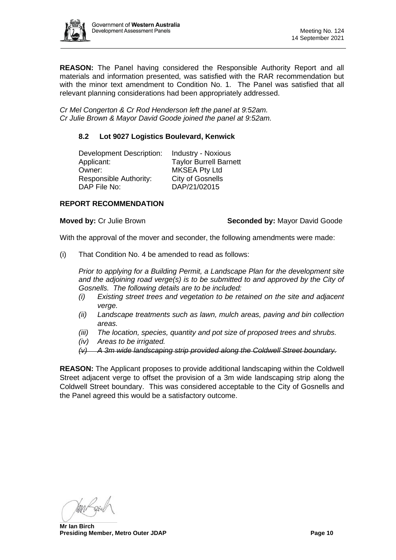

**REASON:** The Panel having considered the Responsible Authority Report and all materials and information presented, was satisfied with the RAR recommendation but with the minor text amendment to Condition No. 1. The Panel was satisfied that all relevant planning considerations had been appropriately addressed.

*Cr Mel Congerton & Cr Rod Henderson left the panel at 9:52am. Cr Julie Brown & Mayor David Goode joined the panel at 9:52am.*

# <span id="page-9-0"></span>**8.2 Lot 9027 Logistics Boulevard, Kenwick**

| <b>Development Description:</b> | <b>Industry - Noxious</b>     |
|---------------------------------|-------------------------------|
| Applicant:                      | <b>Taylor Burrell Barnett</b> |
| Owner:                          | <b>MKSEA Pty Ltd</b>          |
| <b>Responsible Authority:</b>   | <b>City of Gosnells</b>       |
| DAP File No:                    | DAP/21/02015                  |

### **REPORT RECOMMENDATION**

#### **Moved by:** Cr Julie Brown **Seconded by:** Mayor David Goode

With the approval of the mover and seconder, the following amendments were made:

(i) That Condition No. 4 be amended to read as follows:

*Prior to applying for a Building Permit, a Landscape Plan for the development site and the adjoining road verge(s) is to be submitted to and approved by the City of Gosnells. The following details are to be included:* 

- *(i) Existing street trees and vegetation to be retained on the site and adjacent verge.*
- *(ii) Landscape treatments such as lawn, mulch areas, paving and bin collection areas.*
- *(iii) The location, species, quantity and pot size of proposed trees and shrubs.*
- *(iv) Areas to be irrigated.*

*(v) A 3m wide landscaping strip provided along the Coldwell Street boundary.*

**REASON:** The Applicant proposes to provide additional landscaping within the Coldwell Street adjacent verge to offset the provision of a 3m wide landscaping strip along the Coldwell Street boundary. This was considered acceptable to the City of Gosnells and the Panel agreed this would be a satisfactory outcome.

**Mr Ian Birch Presiding Member, Metro Outer JDAP Page 10**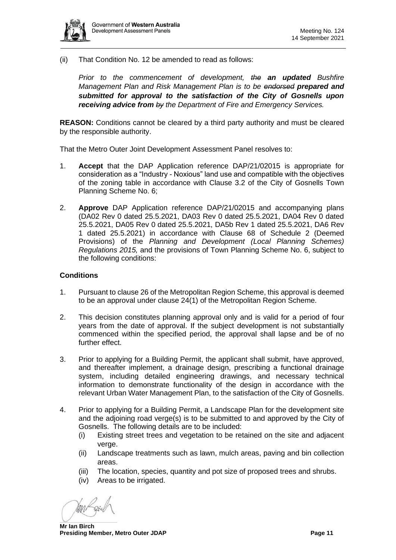

(ii) That Condition No. 12 be amended to read as follows:

*Prior to the commencement of development, the an updated Bushfire Management Plan and Risk Management Plan is to be endorsed prepared and submitted for approval to the satisfaction of the City of Gosnells upon receiving advice from by the Department of Fire and Emergency Services.*

**REASON:** Conditions cannot be cleared by a third party authority and must be cleared by the responsible authority.

That the Metro Outer Joint Development Assessment Panel resolves to:

- 1. **Accept** that the DAP Application reference DAP/21/02015 is appropriate for consideration as a "Industry - Noxious" land use and compatible with the objectives of the zoning table in accordance with Clause 3.2 of the City of Gosnells Town Planning Scheme No. 6;
- 2. **Approve** DAP Application reference DAP/21/02015 and accompanying plans (DA02 Rev 0 dated 25.5.2021, DA03 Rev 0 dated 25.5.2021, DA04 Rev 0 dated 25.5.2021, DA05 Rev 0 dated 25.5.2021, DA5b Rev 1 dated 25.5.2021, DA6 Rev 1 dated 25.5.2021) in accordance with Clause 68 of Schedule 2 (Deemed Provisions) of the *Planning and Development (Local Planning Schemes) Regulations 2015,* and the provisions of Town Planning Scheme No. 6, subject to the following conditions:

# **Conditions**

- 1. Pursuant to clause 26 of the Metropolitan Region Scheme, this approval is deemed to be an approval under clause 24(1) of the Metropolitan Region Scheme.
- 2. This decision constitutes planning approval only and is valid for a period of four years from the date of approval. If the subject development is not substantially commenced within the specified period, the approval shall lapse and be of no further effect.
- 3. Prior to applying for a Building Permit, the applicant shall submit, have approved, and thereafter implement, a drainage design, prescribing a functional drainage system, including detailed engineering drawings, and necessary technical information to demonstrate functionality of the design in accordance with the relevant Urban Water Management Plan, to the satisfaction of the City of Gosnells.
- 4. Prior to applying for a Building Permit, a Landscape Plan for the development site and the adjoining road verge(s) is to be submitted to and approved by the City of Gosnells. The following details are to be included:
	- (i) Existing street trees and vegetation to be retained on the site and adjacent verge.
	- (ii) Landscape treatments such as lawn, mulch areas, paving and bin collection areas.
	- (iii) The location, species, quantity and pot size of proposed trees and shrubs.
	- (iv) Areas to be irrigated.

**Mr Ian Birch Presiding Member, Metro Outer JDAP Page 11**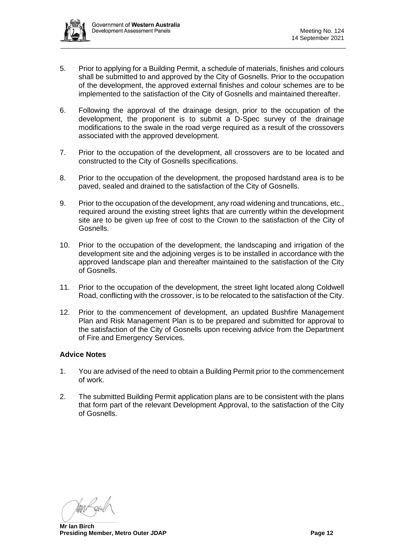

- 5. Prior to applying for a Building Permit, a schedule of materials, finishes and colours shall be submitted to and approved by the City of Gosnells. Prior to the occupation of the development, the approved external finishes and colour schemes are to be implemented to the satisfaction of the City of Gosnells and maintained thereafter.
- 6. Following the approval of the drainage design, prior to the occupation of the development, the proponent is to submit a D-Spec survey of the drainage modifications to the swale in the road verge required as a result of the crossovers associated with the approved development.
- 7. Prior to the occupation of the development, all crossovers are to be located and constructed to the City of Gosnells specifications.
- 8. Prior to the occupation of the development, the proposed hardstand area is to be paved, sealed and drained to the satisfaction of the City of Gosnells.
- 9. Prior to the occupation of the development, any road widening and truncations, etc., required around the existing street lights that are currently within the development site are to be given up free of cost to the Crown to the satisfaction of the City of Gosnells.
- 10. Prior to the occupation of the development, the landscaping and irrigation of the development site and the adjoining verges is to be installed in accordance with the approved landscape plan and thereafter maintained to the satisfaction of the City of Gosnells.
- 11. Prior to the occupation of the development, the street light located along Coldwell Road, conflicting with the crossover, is to be relocated to the satisfaction of the City.
- 12. Prior to the commencement of development, an updated Bushfire Management Plan and Risk Management Plan is to be prepared and submitted for approval to the satisfaction of the City of Gosnells upon receiving advice from the Department of Fire and Emergency Services.

# **Advice Notes**

- 1. You are advised of the need to obtain a Building Permit prior to the commencement of work.
- 2. The submitted Building Permit application plans are to be consistent with the plans that form part of the relevant Development Approval, to the satisfaction of the City of Gosnells.

**Mr Ian Birch Presiding Member, Metro Outer JDAP Page 12 Page 12**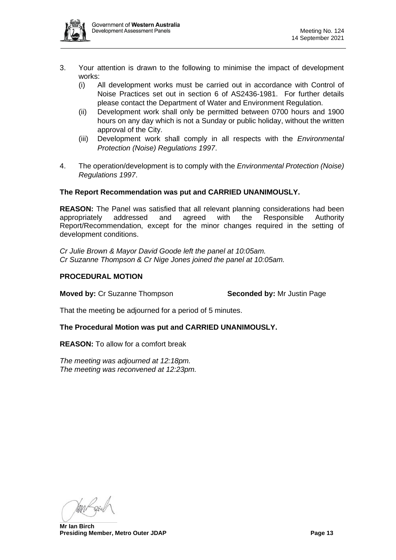

- 3. Your attention is drawn to the following to minimise the impact of development works:
	- (i) All development works must be carried out in accordance with Control of Noise Practices set out in section 6 of AS2436-1981. For further details please contact the Department of Water and Environment Regulation.
	- (ii) Development work shall only be permitted between 0700 hours and 1900 hours on any day which is not a Sunday or public holiday, without the written approval of the City.
	- (iii) Development work shall comply in all respects with the *Environmental Protection (Noise) Regulations 1997*.
- 4. The operation/development is to comply with the *Environmental Protection (Noise) Regulations 1997*.

# **The Report Recommendation was put and CARRIED UNANIMOUSLY.**

**REASON:** The Panel was satisfied that all relevant planning considerations had been appropriately addressed and agreed with the Responsible Authority Report/Recommendation, except for the minor changes required in the setting of development conditions.

*Cr Julie Brown & Mayor David Goode left the panel at 10:05am. Cr Suzanne Thompson & Cr Nige Jones joined the panel at 10:05am.*

# **PROCEDURAL MOTION**

**Moved by:** Cr Suzanne Thompson **Seconded by:** Mr Justin Page

That the meeting be adjourned for a period of 5 minutes.

# **The Procedural Motion was put and CARRIED UNANIMOUSLY.**

**REASON:** To allow for a comfort break

*The meeting was adjourned at 12:18pm. The meeting was reconvened at 12:23pm.*

**Mr Ian Birch Presiding Member, Metro Outer JDAP Page 13**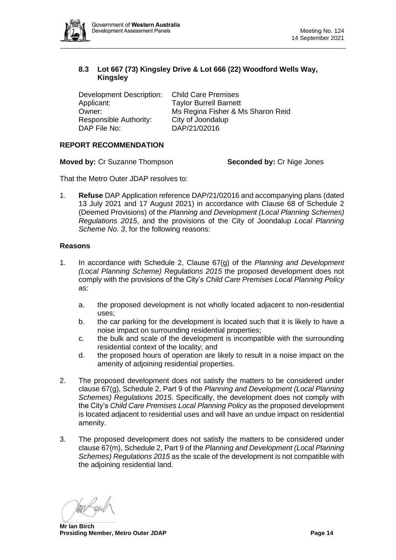

# <span id="page-13-0"></span>**8.3 Lot 667 (73) Kingsley Drive & Lot 666 (22) Woodford Wells Way, Kingsley**

Development Description: Child Care Premises Applicant: Taylor Burrell Barnett Owner: Ms Regina Fisher & Ms Sharon Reid Responsible Authority: City of Joondalup<br>DAP File No: DAP/21/02016

DAP/21/02016

# **REPORT RECOMMENDATION**

**Moved by:** Cr Suzanne Thompson **Seconded by:** Cr Nige Jones

That the Metro Outer JDAP resolves to:

1. **Refuse** DAP Application reference DAP/21/02016 and accompanying plans (dated 13 July 2021 and 17 August 2021) in accordance with Clause 68 of Schedule 2 (Deemed Provisions) of the *Planning and Development (Local Planning Schemes) Regulations 2015*, and the provisions of the City of Joondalup *Local Planning Scheme No. 3*, for the following reasons:

# **Reasons**

- 1. In accordance with Schedule 2, Clause 67(g) of the *Planning and Development (Local Planning Scheme) Regulations 2015* the proposed development does not comply with the provisions of the City's *Child Care Premises Local Planning Policy*  as:
	- a. the proposed development is not wholly located adjacent to non-residential uses;
	- b. the car parking for the development is located such that it is likely to have a noise impact on surrounding residential properties;
	- c. the bulk and scale of the development is incompatible with the surrounding residential context of the locality; and
	- d. the proposed hours of operation are likely to result in a noise impact on the amenity of adjoining residential properties.
- 2. The proposed development does not satisfy the matters to be considered under clause 67(g), Schedule 2, Part 9 of the *Planning and Development (Local Planning Schemes) Regulations 2015.* Specifically, the development does not comply with the City's *Child Care Premises Local Planning Policy* as the proposed development is located adjacent to residential uses and will have an undue impact on residential amenity.
- 3. The proposed development does not satisfy the matters to be considered under clause 67(m), Schedule 2, Part 9 of the *Planning and Development (Local Planning Schemes) Regulations 2015* as the scale of the development is not compatible with the adjoining residential land.

**Mr Ian Birch Presiding Member, Metro Outer JDAP Page 14**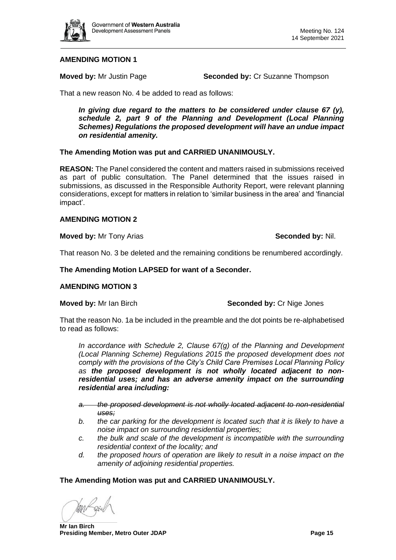

# **AMENDING MOTION 1**

**Moved by:** Mr Justin Page **Seconded by:** Cr Suzanne Thompson

That a new reason No. 4 be added to read as follows:

*In giving due regard to the matters to be considered under clause 67 (y), schedule 2, part 9 of the Planning and Development (Local Planning Schemes) Regulations the proposed development will have an undue impact on residential amenity.*

### **The Amending Motion was put and CARRIED UNANIMOUSLY.**

**REASON:** The Panel considered the content and matters raised in submissions received as part of public consultation. The Panel determined that the issues raised in submissions, as discussed in the Responsible Authority Report, were relevant planning considerations, except for matters in relation to 'similar business in the area' and 'financial impact'.

#### **AMENDING MOTION 2**

#### **Moved by:** Mr Tony Arias **Seconded by:** Nil.

That reason No. 3 be deleted and the remaining conditions be renumbered accordingly.

**The Amending Motion LAPSED for want of a Seconder.**

#### **AMENDING MOTION 3**

**Moved by:** Mr Ian Birch **Seconded by:** Cr Nige Jones

That the reason No. 1a be included in the preamble and the dot points be re-alphabetised to read as follows:

*In accordance with Schedule 2, Clause 67(g) of the Planning and Development (Local Planning Scheme) Regulations 2015 the proposed development does not comply with the provisions of the City's Child Care Premises Local Planning Policy as the proposed development is not wholly located adjacent to nonresidential uses; and has an adverse amenity impact on the surrounding residential area including:*

- *a. the proposed development is not wholly located adjacent to non-residential uses;*
- *b. the car parking for the development is located such that it is likely to have a noise impact on surrounding residential properties;*
- *c. the bulk and scale of the development is incompatible with the surrounding residential context of the locality; and*
- *d. the proposed hours of operation are likely to result in a noise impact on the amenity of adjoining residential properties.*

#### **The Amending Motion was put and CARRIED UNANIMOUSLY.**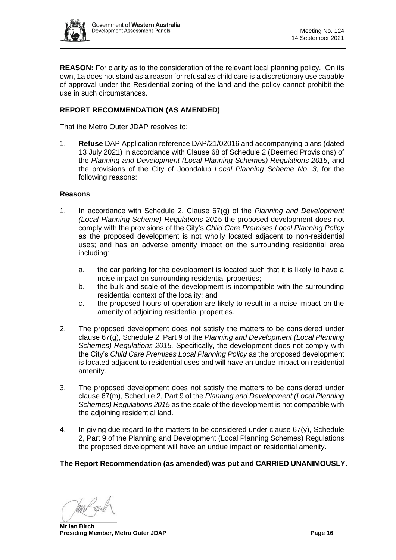

**REASON:** For clarity as to the consideration of the relevant local planning policy. On its own, 1a does not stand as a reason for refusal as child care is a discretionary use capable of approval under the Residential zoning of the land and the policy cannot prohibit the use in such circumstances.

# **REPORT RECOMMENDATION (AS AMENDED)**

That the Metro Outer JDAP resolves to:

1. **Refuse** DAP Application reference DAP/21/02016 and accompanying plans (dated 13 July 2021) in accordance with Clause 68 of Schedule 2 (Deemed Provisions) of the *Planning and Development (Local Planning Schemes) Regulations 2015*, and the provisions of the City of Joondalup *Local Planning Scheme No. 3*, for the following reasons:

#### **Reasons**

- 1. In accordance with Schedule 2, Clause 67(g) of the *Planning and Development (Local Planning Scheme) Regulations 2015* the proposed development does not comply with the provisions of the City's *Child Care Premises Local Planning Policy*  as the proposed development is not wholly located adjacent to non-residential uses; and has an adverse amenity impact on the surrounding residential area including:
	- a. the car parking for the development is located such that it is likely to have a noise impact on surrounding residential properties;
	- b. the bulk and scale of the development is incompatible with the surrounding residential context of the locality; and
	- c. the proposed hours of operation are likely to result in a noise impact on the amenity of adjoining residential properties.
- 2. The proposed development does not satisfy the matters to be considered under clause 67(g), Schedule 2, Part 9 of the *Planning and Development (Local Planning Schemes) Regulations 2015.* Specifically, the development does not comply with the City's *Child Care Premises Local Planning Policy* as the proposed development is located adjacent to residential uses and will have an undue impact on residential amenity.
- 3. The proposed development does not satisfy the matters to be considered under clause 67(m), Schedule 2, Part 9 of the *Planning and Development (Local Planning Schemes) Regulations 2015* as the scale of the development is not compatible with the adjoining residential land.
- 4. In giving due regard to the matters to be considered under clause  $67(y)$ , Schedule 2, Part 9 of the Planning and Development (Local Planning Schemes) Regulations the proposed development will have an undue impact on residential amenity.

# **The Report Recommendation (as amended) was put and CARRIED UNANIMOUSLY.**

**Mr Ian Birch Presiding Member, Metro Outer JDAP Page 16**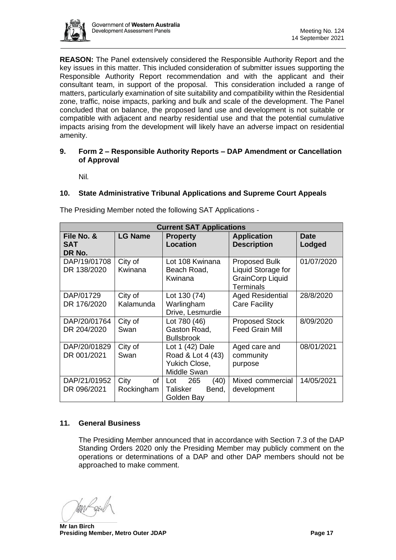

**REASON:** The Panel extensively considered the Responsible Authority Report and the key issues in this matter. This included consideration of submitter issues supporting the Responsible Authority Report recommendation and with the applicant and their consultant team, in support of the proposal. This consideration included a range of matters, particularly examination of site suitability and compatibility within the Residential zone, traffic, noise impacts, parking and bulk and scale of the development. The Panel concluded that on balance, the proposed land use and development is not suitable or compatible with adjacent and nearby residential use and that the potential cumulative impacts arising from the development will likely have an adverse impact on residential amenity.

#### <span id="page-16-0"></span>**9. Form 2 – Responsible Authority Reports – DAP Amendment or Cancellation of Approval**

Nil*.*

# <span id="page-16-2"></span><span id="page-16-1"></span>**10. State Administrative Tribunal Applications and Supreme Court Appeals**

| <b>Current SAT Applications</b>    |                          |                                                                      |                                                                                           |                       |  |  |  |
|------------------------------------|--------------------------|----------------------------------------------------------------------|-------------------------------------------------------------------------------------------|-----------------------|--|--|--|
| File No. &<br><b>SAT</b><br>DR No. | <b>LG Name</b>           | <b>Property</b><br><b>Location</b>                                   | <b>Application</b><br><b>Description</b>                                                  | <b>Date</b><br>Lodged |  |  |  |
| DAP/19/01708<br>DR 138/2020        | City of<br>Kwinana       | Lot 108 Kwinana<br>Beach Road,<br>Kwinana                            | <b>Proposed Bulk</b><br>Liquid Storage for<br><b>GrainCorp Liquid</b><br><b>Terminals</b> | 01/07/2020            |  |  |  |
| DAP/01729<br>DR 176/2020           | City of<br>Kalamunda     | Lot 130 (74)<br>Warlingham<br>Drive, Lesmurdie                       | <b>Aged Residential</b><br><b>Care Facility</b>                                           | 28/8/2020             |  |  |  |
| DAP/20/01764<br>DR 204/2020        | City of<br>Swan          | Lot 780 (46)<br>Gaston Road,<br><b>Bullsbrook</b>                    | <b>Proposed Stock</b><br><b>Feed Grain Mill</b>                                           | 8/09/2020             |  |  |  |
| DAP/20/01829<br>DR 001/2021        | City of<br>Swan          | Lot 1 (42) Dale<br>Road & Lot 4 (43)<br>Yukich Close,<br>Middle Swan | Aged care and<br>community<br>purpose                                                     | 08/01/2021            |  |  |  |
| DAP/21/01952<br>DR 096/2021        | City<br>of<br>Rockingham | 265<br>(40)<br>Lot<br>Talisker<br>Bend,<br>Golden Bay                | Mixed commercial<br>development                                                           | 14/05/2021            |  |  |  |

The Presiding Member noted the following SAT Applications -

# <span id="page-16-3"></span>**11. General Business**

The Presiding Member announced that in accordance with Section 7.3 of the DAP Standing Orders 2020 only the Presiding Member may publicly comment on the operations or determinations of a DAP and other DAP members should not be approached to make comment.

**Mr Ian Birch Presiding Member, Metro Outer JDAP Page 17 Page 17**